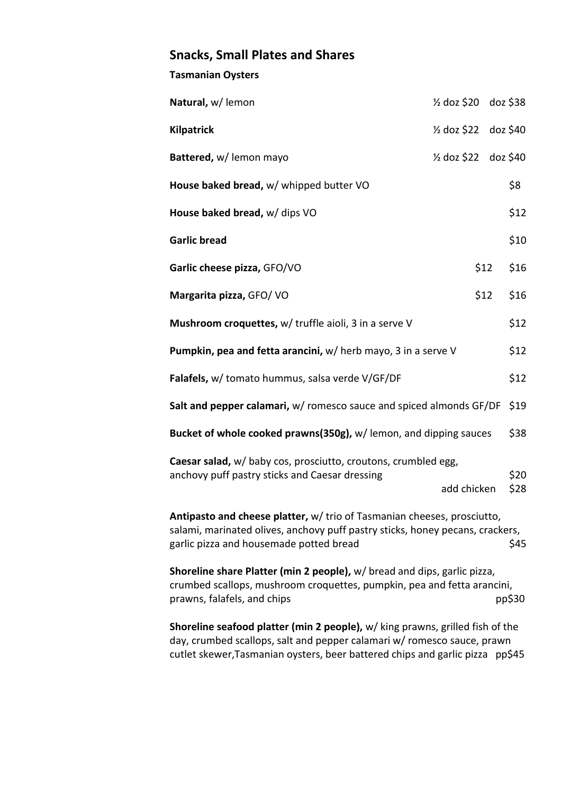## **Snacks, Small Plates and Shares**

## **Tasmanian Oysters**

| Natural, w/ lemon                                                                                                                                                                                           | $\frac{1}{2}$ doz \$20 doz \$38 |      |          |  |  |
|-------------------------------------------------------------------------------------------------------------------------------------------------------------------------------------------------------------|---------------------------------|------|----------|--|--|
| <b>Kilpatrick</b>                                                                                                                                                                                           | $\frac{1}{2}$ doz \$22          |      | doz \$40 |  |  |
| Battered, w/ lemon mayo                                                                                                                                                                                     | $\frac{1}{2}$ doz \$22          |      | doz \$40 |  |  |
| House baked bread, w/ whipped butter VO                                                                                                                                                                     |                                 |      | \$8      |  |  |
| House baked bread, w/ dips VO                                                                                                                                                                               |                                 |      | \$12     |  |  |
| <b>Garlic bread</b>                                                                                                                                                                                         |                                 |      | \$10     |  |  |
| Garlic cheese pizza, GFO/VO                                                                                                                                                                                 |                                 | \$12 | \$16     |  |  |
| Margarita pizza, GFO/VO                                                                                                                                                                                     |                                 | \$12 | \$16     |  |  |
| Mushroom croquettes, w/ truffle aioli, 3 in a serve V                                                                                                                                                       |                                 |      | \$12     |  |  |
| Pumpkin, pea and fetta arancini, w/ herb mayo, 3 in a serve V                                                                                                                                               |                                 |      | \$12     |  |  |
| Falafels, w/ tomato hummus, salsa verde V/GF/DF                                                                                                                                                             |                                 |      | \$12     |  |  |
| Salt and pepper calamari, w/ romesco sauce and spiced almonds GF/DF                                                                                                                                         |                                 |      | \$19     |  |  |
| Bucket of whole cooked prawns(350g), w/ lemon, and dipping sauces                                                                                                                                           |                                 |      | \$38     |  |  |
| Caesar salad, w/ baby cos, prosciutto, croutons, crumbled egg,<br>anchovy puff pastry sticks and Caesar dressing                                                                                            |                                 |      | \$20     |  |  |
|                                                                                                                                                                                                             | add chicken                     |      | \$28     |  |  |
| Antipasto and cheese platter, w/ trio of Tasmanian cheeses, prosciutto,<br>salami, marinated olives, anchovy puff pastry sticks, honey pecans, crackers,<br>garlic pizza and housemade potted bread<br>\$45 |                                 |      |          |  |  |

**Shoreline share Platter (min 2 people),** w/ bread and dips, garlic pizza, crumbed scallops, mushroom croquettes, pumpkin, pea and fetta arancini, prawns, falafels, and chips pp\$30

**Shoreline seafood platter (min 2 people),** w/ king prawns, grilled fish of the day, crumbed scallops, salt and pepper calamari w/ romesco sauce, prawn cutlet skewer,Tasmanian oysters, beer battered chips and garlic pizza pp\$45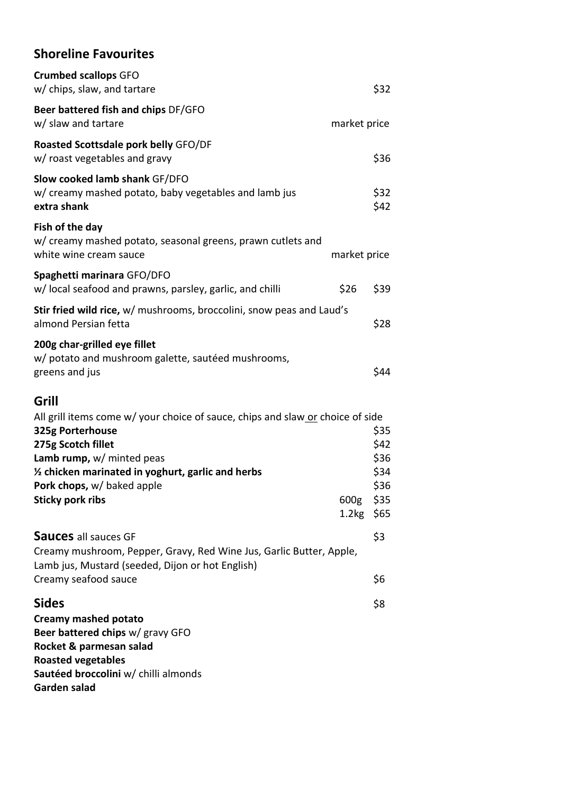## **Shoreline Favourites**

|      | \$32                                                                                                                                                                                                                                                                                     |
|------|------------------------------------------------------------------------------------------------------------------------------------------------------------------------------------------------------------------------------------------------------------------------------------------|
|      |                                                                                                                                                                                                                                                                                          |
|      | \$36                                                                                                                                                                                                                                                                                     |
|      | \$32<br>\$42                                                                                                                                                                                                                                                                             |
|      |                                                                                                                                                                                                                                                                                          |
| \$26 | \$39                                                                                                                                                                                                                                                                                     |
|      | \$28                                                                                                                                                                                                                                                                                     |
|      | \$44                                                                                                                                                                                                                                                                                     |
|      | \$35<br>\$42<br>\$36<br>\$34<br>\$36                                                                                                                                                                                                                                                     |
|      | \$3<br>\$6                                                                                                                                                                                                                                                                               |
|      | \$8                                                                                                                                                                                                                                                                                      |
|      | market price<br>market price<br>Stir fried wild rice, w/ mushrooms, broccolini, snow peas and Laud's<br>All grill items come w/ your choice of sauce, chips and slaw or choice of side<br>600g \$35<br>1.2kg \$65<br>Creamy mushroom, Pepper, Gravy, Red Wine Jus, Garlic Butter, Apple, |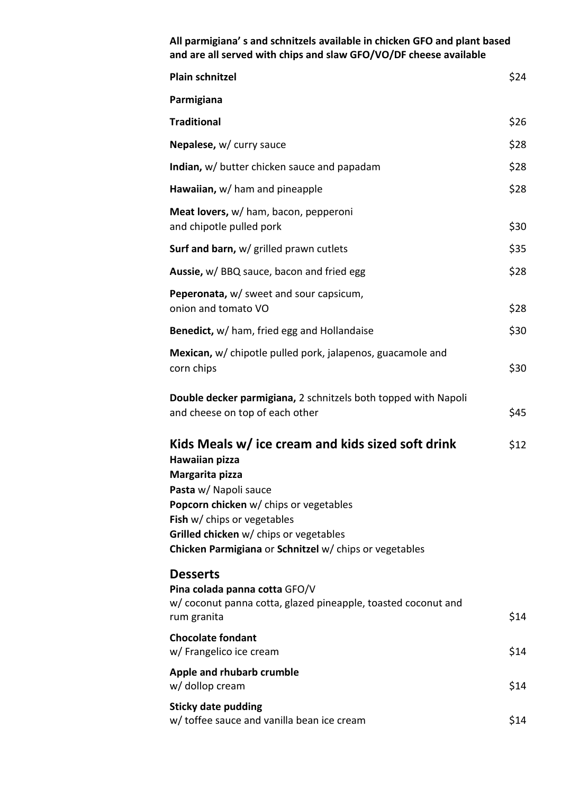| All parmigiana's and schnitzels available in chicken GFO and plant based<br>and are all served with chips and slaw GFO/VO/DF cheese available                                                                                                                                                |      |  |
|----------------------------------------------------------------------------------------------------------------------------------------------------------------------------------------------------------------------------------------------------------------------------------------------|------|--|
| <b>Plain schnitzel</b>                                                                                                                                                                                                                                                                       | \$24 |  |
| Parmigiana                                                                                                                                                                                                                                                                                   |      |  |
| <b>Traditional</b>                                                                                                                                                                                                                                                                           | \$26 |  |
| Nepalese, w/ curry sauce                                                                                                                                                                                                                                                                     | \$28 |  |
| <b>Indian, w/</b> butter chicken sauce and papadam                                                                                                                                                                                                                                           | \$28 |  |
| Hawaiian, w/ ham and pineapple                                                                                                                                                                                                                                                               | \$28 |  |
| Meat lovers, w/ ham, bacon, pepperoni<br>and chipotle pulled pork                                                                                                                                                                                                                            | \$30 |  |
| Surf and barn, w/ grilled prawn cutlets                                                                                                                                                                                                                                                      | \$35 |  |
| <b>Aussie, w/ BBQ sauce, bacon and fried egg</b>                                                                                                                                                                                                                                             | \$28 |  |
| <b>Peperonata, w/</b> sweet and sour capsicum,<br>onion and tomato VO                                                                                                                                                                                                                        | \$28 |  |
| Benedict, w/ ham, fried egg and Hollandaise                                                                                                                                                                                                                                                  | \$30 |  |
| Mexican, w/ chipotle pulled pork, jalapenos, guacamole and<br>corn chips                                                                                                                                                                                                                     | \$30 |  |
| Double decker parmigiana, 2 schnitzels both topped with Napoli<br>and cheese on top of each other                                                                                                                                                                                            | \$45 |  |
| Kids Meals w/ ice cream and kids sized soft drink<br>Hawaiian pizza<br>Margarita pizza<br>Pasta w/ Napoli sauce<br>Popcorn chicken w/ chips or vegetables<br>Fish w/ chips or vegetables<br>Grilled chicken w/ chips or vegetables<br>Chicken Parmigiana or Schnitzel w/ chips or vegetables | \$12 |  |
| <b>Desserts</b><br>Pina colada panna cotta GFO/V<br>w/ coconut panna cotta, glazed pineapple, toasted coconut and<br>rum granita                                                                                                                                                             | \$14 |  |
| <b>Chocolate fondant</b><br>w/ Frangelico ice cream                                                                                                                                                                                                                                          | \$14 |  |
| Apple and rhubarb crumble<br>w/ dollop cream                                                                                                                                                                                                                                                 | \$14 |  |
| <b>Sticky date pudding</b><br>w/ toffee sauce and vanilla bean ice cream                                                                                                                                                                                                                     | \$14 |  |